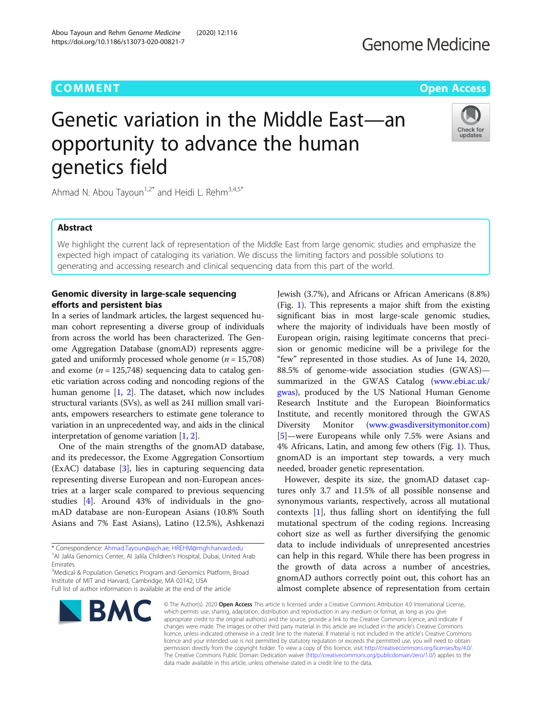# **COMMENT COMMENT COMMENT COMMENT**

# **Genome Medicine**

# Genetic variation in the Middle East—an opportunity to advance the human genetics field



Ahmad N. Abou Tayoun<sup>1,2\*</sup> and Heidi L. Rehm<sup>3,4,5\*</sup>

Abou Tayoun and Rehm Genome Medicine (2020) 12:116

https://doi.org/10.1186/s13073-020-00821-7

# Abstract

We highlight the current lack of representation of the Middle East from large genomic studies and emphasize the expected high impact of cataloging its variation. We discuss the limiting factors and possible solutions to generating and accessing research and clinical sequencing data from this part of the world.

## Genomic diversity in large-scale sequencing efforts and persistent bias

In a series of landmark articles, the largest sequenced human cohort representing a diverse group of individuals from across the world has been characterized. The Genome Aggregation Database (gnomAD) represents aggregated and uniformly processed whole genome ( $n = 15,708$ ) and exome ( $n = 125,748$ ) sequencing data to catalog genetic variation across coding and noncoding regions of the human genome [\[1,](#page-3-0) [2](#page-3-0)]. The dataset, which now includes structural variants (SVs), as well as 241 million small variants, empowers researchers to estimate gene tolerance to variation in an unprecedented way, and aids in the clinical interpretation of genome variation [[1,](#page-3-0) [2](#page-3-0)].

One of the main strengths of the gnomAD database, and its predecessor, the Exome Aggregation Consortium (ExAC) database [\[3](#page-3-0)], lies in capturing sequencing data representing diverse European and non-European ancestries at a larger scale compared to previous sequencing studies [[4](#page-3-0)]. Around 43% of individuals in the gnomAD database are non-European Asians (10.8% South Asians and 7% East Asians), Latino (12.5%), Ashkenazi

\* Correspondence: [Ahmad.Tayoun@ajch.ae](mailto:Ahmad.Tayoun@ajch.ae); [HREHM@mgh.harvard.edu](mailto:HREH<?A3B2 h=0pt,128?>M@mgh.harvard.edu) <sup>1</sup> <sup>1</sup>Al Jalila Genomics Center, Al Jalila Children's Hospital, Dubai, United Arab Emirates

<sup>3</sup>Medical & Population Genetics Program and Genomics Platform, Broad Institute of MIT and Harvard, Cambridge, MA 02142, USA Full list of author information is available at the end of the article

**BMC** 

Jewish (3.7%), and Africans or African Americans (8.8%) (Fig. [1](#page-2-0)). This represents a major shift from the existing significant bias in most large-scale genomic studies, where the majority of individuals have been mostly of European origin, raising legitimate concerns that precision or genomic medicine will be a privilege for the "few" represented in those studies. As of June 14, 2020, 88.5% of genome-wide association studies (GWAS) summarized in the GWAS Catalog ([www.ebi.ac.uk/](http://www.ebi.ac.uk/gwas) [gwas](http://www.ebi.ac.uk/gwas)), produced by the US National Human Genome Research Institute and the European Bioinformatics Institute, and recently monitored through the GWAS Diversity Monitor ([www.gwasdiversitymonitor.com](http://www.gwasdiversitymonitor.com)) [[5\]](#page-3-0)—were Europeans while only 7.5% were Asians and 4% Africans, Latin, and among few others (Fig. [1\)](#page-2-0). Thus, gnomAD is an important step towards, a very much needed, broader genetic representation.

However, despite its size, the gnomAD dataset captures only 3.7 and 11.5% of all possible nonsense and synonymous variants, respectively, across all mutational contexts [\[1](#page-3-0)], thus falling short on identifying the full mutational spectrum of the coding regions. Increasing cohort size as well as further diversifying the genomic data to include individuals of unrepresented ancestries can help in this regard. While there has been progress in the growth of data across a number of ancestries, gnomAD authors correctly point out, this cohort has an almost complete absence of representation from certain

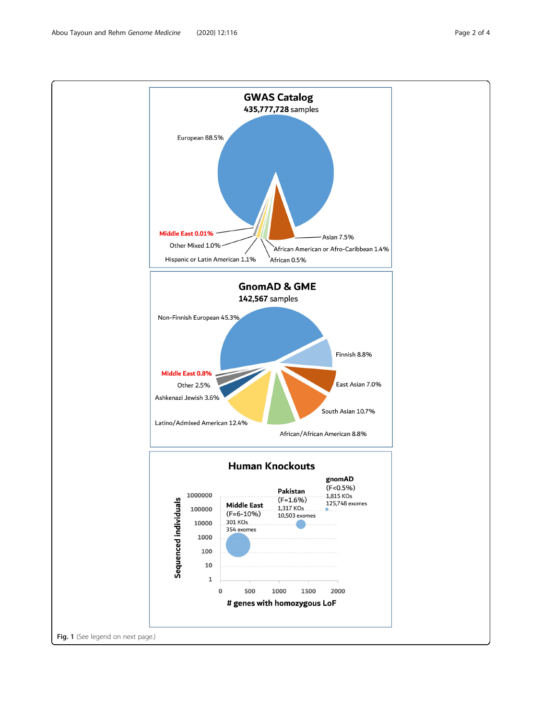Abou Tayoun and Rehm Genome Medicine (2020) 12:116 Page 2 of 4

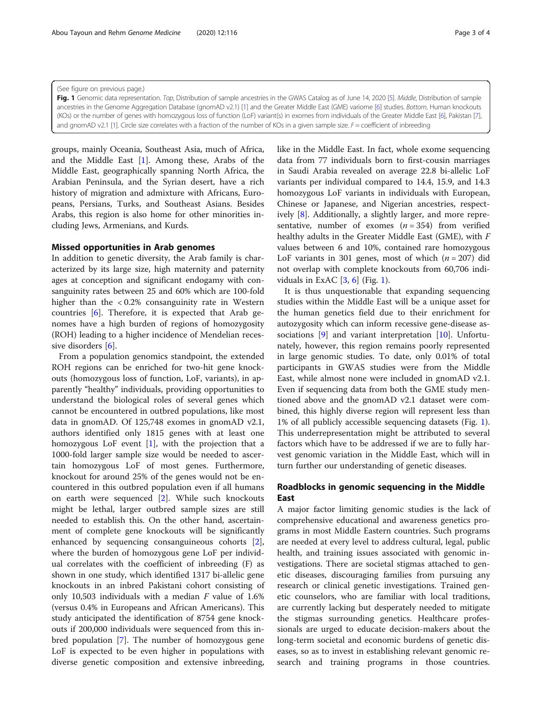groups, mainly Oceania, Southeast Asia, much of Africa, and the Middle East [\[1](#page-3-0)]. Among these, Arabs of the Middle East, geographically spanning North Africa, the Arabian Peninsula, and the Syrian desert, have a rich history of migration and admixture with Africans, Europeans, Persians, Turks, and Southeast Asians. Besides Arabs, this region is also home for other minorities including Jews, Armenians, and Kurds.

### Missed opportunities in Arab genomes

In addition to genetic diversity, the Arab family is characterized by its large size, high maternity and paternity ages at conception and significant endogamy with consanguinity rates between 25 and 60% which are 100-fold higher than the < 0.2% consanguinity rate in Western countries [\[6](#page-3-0)]. Therefore, it is expected that Arab genomes have a high burden of regions of homozygosity (ROH) leading to a higher incidence of Mendelian reces-sive disorders [\[6](#page-3-0)].

From a population genomics standpoint, the extended ROH regions can be enriched for two-hit gene knockouts (homozygous loss of function, LoF, variants), in apparently "healthy" individuals, providing opportunities to understand the biological roles of several genes which cannot be encountered in outbred populations, like most data in gnomAD. Of 125,748 exomes in gnomAD v2.1, authors identified only 1815 genes with at least one homozygous LoF event [\[1](#page-3-0)], with the projection that a 1000-fold larger sample size would be needed to ascertain homozygous LoF of most genes. Furthermore, knockout for around 25% of the genes would not be encountered in this outbred population even if all humans on earth were sequenced [[2\]](#page-3-0). While such knockouts might be lethal, larger outbred sample sizes are still needed to establish this. On the other hand, ascertainment of complete gene knockouts will be significantly enhanced by sequencing consanguineous cohorts [\[2](#page-3-0)], where the burden of homozygous gene LoF per individual correlates with the coefficient of inbreeding (F) as shown in one study, which identified 1317 bi-allelic gene knockouts in an inbred Pakistani cohort consisting of only 10,503 individuals with a median  $F$  value of 1.6% (versus 0.4% in Europeans and African Americans). This study anticipated the identification of 8754 gene knockouts if 200,000 individuals were sequenced from this inbred population [\[7](#page-3-0)]. The number of homozygous gene LoF is expected to be even higher in populations with diverse genetic composition and extensive inbreeding,

like in the Middle East. In fact, whole exome sequencing data from 77 individuals born to first-cousin marriages in Saudi Arabia revealed on average 22.8 bi-allelic LoF variants per individual compared to 14.4, 15.9, and 14.3 homozygous LoF variants in individuals with European, Chinese or Japanese, and Nigerian ancestries, respectively [[8\]](#page-3-0). Additionally, a slightly larger, and more representative, number of exomes  $(n = 354)$  from verified healthy adults in the Greater Middle East (GME), with F values between 6 and 10%, contained rare homozygous LoF variants in 301 genes, most of which  $(n = 207)$  did not overlap with complete knockouts from 60,706 individuals in ExAC  $[3, 6]$  $[3, 6]$  $[3, 6]$  $[3, 6]$  (Fig. 1).

It is thus unquestionable that expanding sequencing studies within the Middle East will be a unique asset for the human genetics field due to their enrichment for autozygosity which can inform recessive gene-disease associations [[9\]](#page-3-0) and variant interpretation [\[10](#page-3-0)]. Unfortunately, however, this region remains poorly represented in large genomic studies. To date, only 0.01% of total participants in GWAS studies were from the Middle East, while almost none were included in gnomAD v2.1. Even if sequencing data from both the GME study mentioned above and the gnomAD v2.1 dataset were combined, this highly diverse region will represent less than 1% of all publicly accessible sequencing datasets (Fig. 1). This underrepresentation might be attributed to several factors which have to be addressed if we are to fully harvest genomic variation in the Middle East, which will in turn further our understanding of genetic diseases.

### Roadblocks in genomic sequencing in the Middle East

A major factor limiting genomic studies is the lack of comprehensive educational and awareness genetics programs in most Middle Eastern countries. Such programs are needed at every level to address cultural, legal, public health, and training issues associated with genomic investigations. There are societal stigmas attached to genetic diseases, discouraging families from pursuing any research or clinical genetic investigations. Trained genetic counselors, who are familiar with local traditions, are currently lacking but desperately needed to mitigate the stigmas surrounding genetics. Healthcare professionals are urged to educate decision-makers about the long-term societal and economic burdens of genetic diseases, so as to invest in establishing relevant genomic research and training programs in those countries.

<span id="page-2-0"></span>Fig. 1 Genomic data representation. Top, Distribution of sample ancestries in the GWAS Catalog as of June 14, 2020 [\[5\]](#page-3-0). Middle, Distribution of sample ancestries in the Genome Aggregation Database (gnomAD v2.1) [\[1\]](#page-3-0) and the Greater Middle East (GME) variome [[6\]](#page-3-0) studies. Bottom, Human knockouts (KOs) or the number of genes with homozygous loss of function (LoF) variant(s) in exomes from individuals of the Greater Middle East [\[6\]](#page-3-0), Pakistan [\[7](#page-3-0)], and gnomAD v2.[1](#page-3-0) [1]. Circle size correlates with a fraction of the number of KOs in a given sample size. F = coefficient of inbreeding